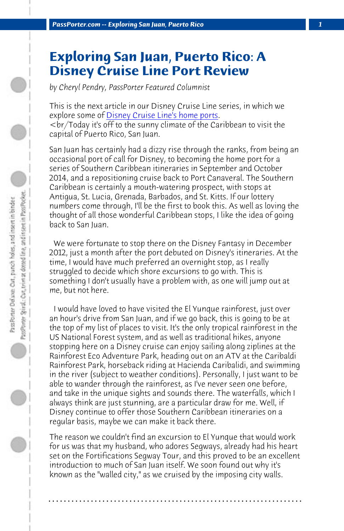*PassPorter.com -- Exploring San Juan, Puerto Rico 1*

## **Exploring San Juan, Puerto Rico: A Disney Cruise Line Port Review**

*by Cheryl Pendry, PassPorter Featured Columnist*

This is the next article in our Disney Cruise Line series, in which we explore some of Disney Cruise Line's home ports.  $\langle$  -br/Today it's off to the sunny climate of the Caribbean to visit the capital of Puerto Rico, San Juan.

San Juan has certainly had a dizzy rise through the ranks, from being an occasional port of call for Disney, to becoming the home port for a series of Southern Caribbean itineraries in September and October 2014, and a repositioning cruise back to Port Canaveral. The Southern Caribbean is certainly a mouth-watering prospect, with stops at Antigua, St. Lucia, Grenada, Barbados, and St. Kitts. If our lottery numbers come through, I'll be the first to book this. As well as loving the thought of all those wonderful Caribbean stops, I like the idea of going back to San Juan.

 We were fortunate to stop there on the Disney Fantasy in December 2012, just a month after the port debuted on Disney's itineraries. At the time, I would have much preferred an overnight stop, as I really struggled to decide which shore excursions to go with. This is something I don't usually have a problem with, as one will jump out at me, but not here.

 I would have loved to have visited the El Yunque rainforest, just over an hour's drive from San Juan, and if we go back, this is going to be at the top of my list of places to visit. It's the only tropical rainforest in the US National Forest system, and as well as traditional hikes, anyone stopping here on a Disney cruise can enjoy sailing along ziplines at the Rainforest Eco Adventure Park, heading out on an ATV at the Caribaldi Rainforest Park, horseback riding at Hacienda Caribalidi, and swimming in the river (subject to weather conditions). Personally, I just want to be able to wander through the rainforest, as I've never seen one before, and take in the unique sights and sounds there. The waterfalls, which I always think are just stunning, are a particular draw for me. Well, if Disney continue to offer those Southern Caribbean itineraries on a regular basis, maybe we can make it back there.

The reason we couldn't find an excursion to El Yunque that would work for us was that my husband, who adores Segways, already had his heart set on the Fortifications Segway Tour, and this proved to be an excellent introduction to much of San Juan itself. We soon found out why it's known as the "walled city," as we cruised by the imposing city walls.

**. . . . . . . . . . . . . . . . . . . . . . . . . . . . . . . . . . . . . . . . . . . . . . . . . . . . . . . . . . . . . . . . . .**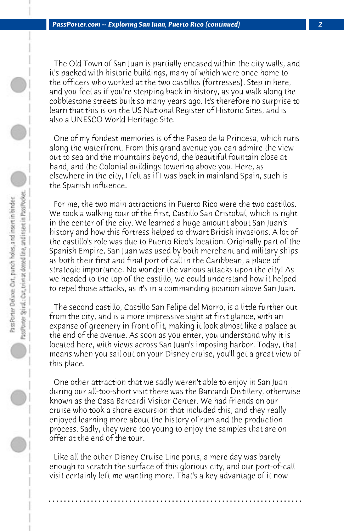The Old Town of San Juan is partially encased within the city walls, and it's packed with historic buildings, many of which were once home to the officers who worked at the two castillos (fortresses). Step in here, and you feel as if you're stepping back in history, as you walk along the cobblestone streets built so many years ago. It's therefore no surprise to learn that this is on the US National Register of Historic Sites, and is also a UNESCO World Heritage Site.

 One of my fondest memories is of the Paseo de la Princesa, which runs along the waterfront. From this grand avenue you can admire the view out to sea and the mountains beyond, the beautiful fountain close at hand, and the Colonial buildings towering above you. Here, as elsewhere in the city, I felt as if I was back in mainland Spain, such is the Spanish influence.

 For me, the two main attractions in Puerto Rico were the two castillos. We took a walking tour of the first, Castillo San Cristobal, which is right in the center of the city. We learned a huge amount about San Juan's history and how this fortress helped to thwart British invasions. A lot of the castillo's role was due to Puerto Rico's location. Originally part of the Spanish Empire, San Juan was used by both merchant and military ships as both their first and final port of call in the Caribbean, a place of strategic importance. No wonder the various attacks upon the city! As we headed to the top of the castillo, we could understand how it helped to repel those attacks, as it's in a commanding position above San Juan.

 The second castillo, Castillo San Felipe del Morro, is a little further out from the city, and is a more impressive sight at first glance, with an expanse of greenery in front of it, making it look almost like a palace at the end of the avenue. As soon as you enter, you understand why it is located here, with views across San Juan's imposing harbor. Today, that means when you sail out on your Disney cruise, you'll get a great view of this place.

 One other attraction that we sadly weren't able to enjoy in San Juan during our all-too-short visit there was the Barcardi Distillery, otherwise known as the Casa Barcardi Visitor Center. We had friends on our cruise who took a shore excursion that included this, and they really enjoyed learning more about the history of rum and the production process. Sadly, they were too young to enjoy the samples that are on offer at the end of the tour.

 Like all the other Disney Cruise Line ports, a mere day was barely enough to scratch the surface of this glorious city, and our port-of-call visit certainly left me wanting more. That's a key advantage of it now

**. . . . . . . . . . . . . . . . . . . . . . . . . . . . . . . . . . . . . . . . . . . . . . . . . . . . . . . . . . . . . . . . . .**